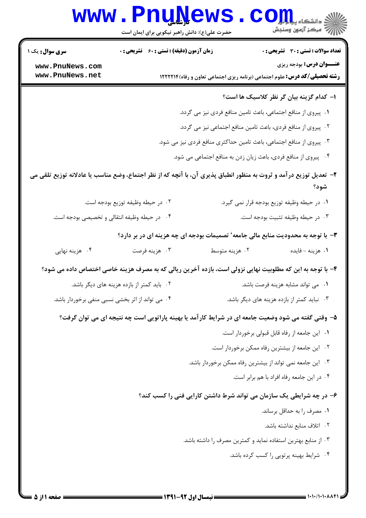|                                                                                                                    | www.PnuNews                                      |                                                                                                           | ران دانشگاه پیای <mark>ری</mark><br>۱۳۸۸ - مرکز آزمون وسنجش |
|--------------------------------------------------------------------------------------------------------------------|--------------------------------------------------|-----------------------------------------------------------------------------------------------------------|-------------------------------------------------------------|
|                                                                                                                    | حضرت علی(ع): دانش راهبر نیکویی برای ایمان است    |                                                                                                           |                                                             |
| <b>سری سوال :</b> یک ۱                                                                                             | زمان آزمون (دقیقه) : تستی : ۶۰٪ تشریحی : ۰       |                                                                                                           | <b>تعداد سوالات : تستی : 30 ٪ تشریحی : 0</b>                |
| www.PnuNews.com<br>www.PnuNews.net                                                                                 |                                                  | <b>رشته تحصیلی/کد درس:</b> علوم اجتماعی (برنامه ریزی اجتماعی تعاون و رفاه) ۱۲۲۲۲۱۴                        | <b>عنـــوان درس:</b> بودجه ریزی                             |
|                                                                                                                    |                                                  |                                                                                                           |                                                             |
|                                                                                                                    |                                                  |                                                                                                           | ا– کدام گزینه بیان گر نظر کلاسیک ها است؟                    |
|                                                                                                                    |                                                  | ۰۱ پیروی از منافع اجتماعی، باعث تامین منافع فردی نیز می گردد.                                             |                                                             |
|                                                                                                                    |                                                  | ۰۲ پیروی از منافع فردی، باعث تامین منافع اجتماعی نیز می گردد.                                             |                                                             |
| ۰۳ پیروی از منافع اجتماعی، باعث تامین حداکثری منافع فردی نیز می شود.                                               |                                                  |                                                                                                           |                                                             |
|                                                                                                                    |                                                  | ۰۴ پیروی از منافع فردی، باعث زیان زدن به منافع اجتماعی می شود.                                            |                                                             |
| ۲– تعدیل توزیع درآمد و ثروت به منظور انطباق پذیری آن، با آنچه که از نظر اجتماع، وضع مناسب یا عادلانه توزیع تلقی می |                                                  |                                                                                                           | شود؟                                                        |
|                                                                                                                    | ٠٢ در حيطه وظيفه توزيع بودجه است.                |                                                                                                           | ۰۱ در حیطه وظیفه توزیع بودجه قرار نمی گیرد.                 |
|                                                                                                                    | ۰۴ در حیطه وظیفه انتقالی و تخصیصی بودجه است.     |                                                                                                           | ٠٣ در حيطه وظيفه تثبيت بودجه است.                           |
|                                                                                                                    |                                                  | ۳- با توجه به محدودیت منابع مالی جامعه' تصمیمات بودجه ای چه هزینه ای در بر دارد؟                          |                                                             |
| ۰۴ هزینه نهایی                                                                                                     | ۰۳ هزينه فرصت                                    | ۰۲ هزينه متوسط                                                                                            | ٠١ هزينه - فايده                                            |
|                                                                                                                    |                                                  | ۴– با توجه به این که مطلوبیت نهایی نزولی است، بازده آخرین ریالی که به مصرف هزینه خاصی اختصاص داده می شود؟ |                                                             |
|                                                                                                                    | ۰۲ باید کمتر از بازده هزینه های دیگر باشد.       |                                                                                                           | ٠١ مي تواند مشابه هزينه فرصت باشد.                          |
|                                                                                                                    | ۰۴ می تواند از اثر بخشی نسبی منفی برخوردار باشد. |                                                                                                           | ۰۳ نباید کمتر از بازده هزینه های دیگر باشد.                 |
|                                                                                                                    |                                                  | ۵– وقتی گفته می شود وضعیت جامعه ای در شرایط کار آمد یا بهینه پاراتویی است چه نتیجه ای می توان گرفت؟       |                                                             |
|                                                                                                                    |                                                  |                                                                                                           | ٠١ اين جامعه از رفاه قابل قبولي برخوردار است.               |
|                                                                                                                    |                                                  |                                                                                                           | ٠٢ اين جامعه از بيشترين رفاه ممكن برخوردار است.             |
|                                                                                                                    |                                                  | ۰۳ این جامعه نمی تواند از بیشترین رفاه ممکن برخوردار باشد.                                                |                                                             |
| ۰۴ در این جامعه رفاه افراد با هم برابر است.                                                                        |                                                  |                                                                                                           |                                                             |
| ۶– در چه شرایطی یک سازمان می تواند شرط داشتن کارایی فنی را کسب کند؟                                                |                                                  |                                                                                                           |                                                             |
| ٠١ مصرف را به حداقل برساند.                                                                                        |                                                  |                                                                                                           |                                                             |
| ۰۲ اتلاف منابع نداشته باشد.                                                                                        |                                                  |                                                                                                           |                                                             |
| ۰۳ از منابع بهترین استفاده نماید و کمترین مصرف را داشته باشد.                                                      |                                                  |                                                                                                           |                                                             |
|                                                                                                                    |                                                  |                                                                                                           | ۰۴ شرایط بهینه پرتویی را کسب کرده باشد.                     |
|                                                                                                                    |                                                  |                                                                                                           |                                                             |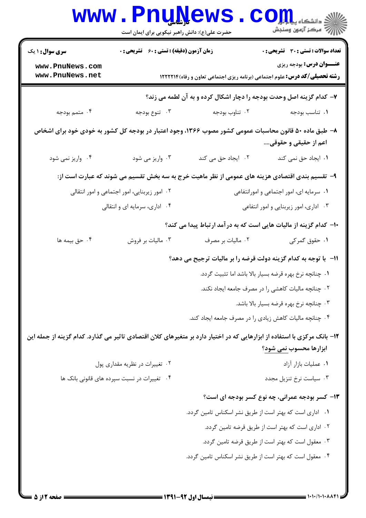| <b>WWW</b>                                                                                                                     | <b>FUNTACMP</b><br>حضرت علی(ع): دانش راهبر نیکویی برای ایمان است                          |                                                         | دانشکاه پی <mark>ا با با</mark> ر<br>رآب آمرڪز آزمون وسنڊش                                                            |
|--------------------------------------------------------------------------------------------------------------------------------|-------------------------------------------------------------------------------------------|---------------------------------------------------------|-----------------------------------------------------------------------------------------------------------------------|
| <b>سری سوال : ۱ یک</b>                                                                                                         | زمان آزمون (دقیقه) : تستی : 60 ٪ تشریحی : 0                                               |                                                         | <b>تعداد سوالات : تستی : 30 ٪ تشریحی : 0</b>                                                                          |
| www.PnuNews.com<br>www.PnuNews.net                                                                                             |                                                                                           |                                                         | <b>عنـــوان درس:</b> بودجه ریزی<br><b>رشته تحصیلی/کد درس:</b> علوم اجتماعی (برنامه ریزی اجتماعی تعاون و رفاه) ۱۲۲۲۲۱۴ |
|                                                                                                                                |                                                                                           |                                                         | ۷- کدام گزینه اصل وحدت بودجه را دچار اشکال کرده و به آن لطمه می زند؟                                                  |
| ۰۴ متمم بودجه                                                                                                                  | ۰۳ تنوع بودجه                                                                             | ۰۲ تناوب بودجه                                          | ٠١. تناسب بودجه                                                                                                       |
| ۸– طبق ماده ۵۰ قانون محاسبات عمومی کشور مصوب ۱۳۶۶، وجود اعتبار در بودجه کل کشور به خودی خود برای اشخاص<br>اعم از حقیقی و حقوقی |                                                                                           |                                                         |                                                                                                                       |
| ۰۴ واریز نمی شود                                                                                                               | ۰۳ واریز می شود                                                                           | ٢. ایجاد حق می کند                                      | ۰۱ ایجاد حق نمی کند                                                                                                   |
|                                                                                                                                |                                                                                           |                                                         | ۹- تقسیم بندی اقتصادی هزینه های عمومی از نظر ماهیت خرج به سه بخش تقسیم می شوند که عبارت است از:                       |
|                                                                                                                                | ٠١ سرمايه اى، امور اجتماعى و امورانتفاعى<br>۰۲ امور زیربنایی، امور اجتماعی و امور انتقالی |                                                         |                                                                                                                       |
|                                                                                                                                | ۰۴ اداری، سرمایه ای و انتقالی                                                             |                                                         | ۰۳ اداری، امور زیربنایی و امور انتفاعی                                                                                |
|                                                                                                                                |                                                                                           |                                                         | ∙ا− کدام گزینه از مالیات هایی است که به درآمد ارتباط پیدا می کند؟                                                     |
| ۰۴ حق بیمه ها                                                                                                                  | ۰۳ مالیات بر فروش                                                                         | ۰۲ مالیات بر مصرف                                       | ١. حقوق گمركى                                                                                                         |
|                                                                                                                                |                                                                                           |                                                         | 11- با توجه به کدام گزینه دولت قرضه را بر مالیات ترجیح می دهد؟                                                        |
|                                                                                                                                |                                                                                           |                                                         | ٠١ چنانچه نرخ بهره قرضه بسيار بالا باشد اما تثبيت گردد.                                                               |
|                                                                                                                                |                                                                                           |                                                         | ۰۲ چنانچه مالیات کاهشی را در مصرف جامعه ایجاد نکند.                                                                   |
|                                                                                                                                |                                                                                           |                                                         | ۰۳ چنانچه نرخ بهره قرضه بسيار بالا باشد.                                                                              |
|                                                                                                                                |                                                                                           | ۰۴ چنانچه مالیات کاهش زیادی را در مصرف جامعه ایجاد کند. |                                                                                                                       |
| ۱۲– بانک مرکزی با استفاده از ابزارهایی که در اختیار دارد بر متغیرهای کلان اقتصادی تاثیر می گذارد. کدام گزینه از جمله این       |                                                                                           |                                                         | ابزارها محسوب <u>نمی شود</u> ؟                                                                                        |
|                                                                                                                                | ۰۲ تغییرات در نظریه مقداری پول                                                            |                                                         | ٠١ عمليات بازار آزاد                                                                                                  |
|                                                                                                                                | ۰۴ تغییرات در نسبت سپرده های قانونی بانک ها                                               |                                                         | ۰۳ سیاست نرخ تنزیل مجدد                                                                                               |
|                                                                                                                                |                                                                                           |                                                         | ۱۳- کسر بودجه عمرانی، چه نوع کسر بودجه ای است؟                                                                        |
|                                                                                                                                |                                                                                           | ۰۱ اداری است که بهتر است از طریق نشر اسکناس تامین گردد. |                                                                                                                       |
|                                                                                                                                |                                                                                           |                                                         | ۰۲ اداری است که بهتر است از طریق قرضه تامین گردد.                                                                     |
|                                                                                                                                |                                                                                           |                                                         | ۰۳ معقول است که بهتر است از طریق قرضه تامین گردد.                                                                     |
|                                                                                                                                |                                                                                           | ۰۴ معقول است که بهتر است از طریق نشر اسکناس تامین گردد. |                                                                                                                       |
|                                                                                                                                |                                                                                           |                                                         |                                                                                                                       |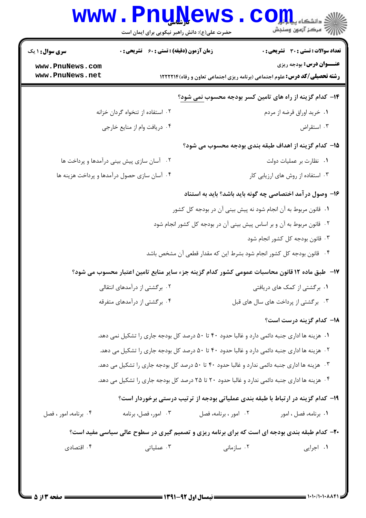|                                                                                                       | www.PnuNews<br>حضرت علی(ع): دانش راهبر نیکویی برای ایمان است                                 |                       | الی دانشکاه پیام ایران<br> 7  مرکز آزمون وسنجش                                                                       |
|-------------------------------------------------------------------------------------------------------|----------------------------------------------------------------------------------------------|-----------------------|----------------------------------------------------------------------------------------------------------------------|
| <b>سری سوال : ۱ یک</b>                                                                                | زمان آزمون (دقیقه) : تستی : 60 ٪ تشریحی : 0                                                  |                       | <b>تعداد سوالات : تستی : 30 ٪ تشریحی : 0</b>                                                                         |
| www.PnuNews.com<br>www.PnuNews.net                                                                    |                                                                                              |                       | <b>عنــوان درس:</b> بودجه ریزی<br><b>رشته تحصیلی/کد درس:</b> علوم اجتماعی (برنامه ریزی اجتماعی تعاون و رفاه) ۱۲۲۲۲۱۴ |
|                                                                                                       |                                                                                              |                       | ۱۴- کدام گزینه از راه های تامین کسر بودجه محسوب <u>نمی شود</u> ؟                                                     |
|                                                                                                       | ۰۲ استفاده از تنخواه گردان خزانه                                                             |                       | ۰۱ خرید اوراق قرضه از مردم                                                                                           |
|                                                                                                       | ۰۴ دریافت وام از منایع خارجی                                                                 |                       | ۰۳ استقراض                                                                                                           |
|                                                                                                       |                                                                                              |                       | ۱۵– کدام گزینه از اهداف طبقه بندی بودجه محسوب می شود؟                                                                |
|                                                                                                       | ۰۲ آسان سازی پیش بینی درآمدها و پرداخت ها                                                    |                       | ٠١ نظارت بر عمليات دولت                                                                                              |
|                                                                                                       | ۰۴ آسان سازی حصول درآمدها و پرداخت هزینه ها                                                  |                       | ۰۳ استفاده از روش های ارزیابی کار                                                                                    |
|                                                                                                       |                                                                                              |                       | ۱۶– وصول در آمد اختصاصی چه گونه باید باشد؟ باید به استناد                                                            |
|                                                                                                       |                                                                                              |                       | ۰۱ قانون مربوط به آن انجام شود نه پیش بینی آن در بودجه کل کشور                                                       |
|                                                                                                       |                                                                                              |                       | ۰۲ قانون مربوط به آن و بر اساس پیش بینی آن در بودجه کل کشور انجام شود                                                |
|                                                                                                       |                                                                                              |                       | ۰۳ قانون بودجه کل کشور انجام شود                                                                                     |
|                                                                                                       |                                                                                              |                       | ۰۴ قانون بودجه کل کشور انجام شود بشرط این که مقدار قطعی آن مشخص باشد                                                 |
| ۱۷− ً طبق ماده ۱۲ قانون محاسبات عمومی کشور کدام گزینه جزء سایر منابع تامین اعتبار محسوب می شود؟       |                                                                                              |                       |                                                                                                                      |
|                                                                                                       | ۰۲ برگشتی از درآمدهای انتقالی                                                                |                       | ۰۱ برگشتی از کمک های دریافتی                                                                                         |
|                                                                                                       | ۰۴ برگشتی از درآمدهای متفرقه                                                                 |                       | ۰۳ برگشتی از پرداخت های سال های قبل                                                                                  |
|                                                                                                       |                                                                                              |                       | ۱۸– کدام گزینه درست است؟                                                                                             |
|                                                                                                       | ۰۱ هزینه ها اداری جنبه دائمی دارد و غالبا حدود ۴۰ تا ۵۰ درصد کل بودجه جاری را تشکیل نمی دهد. |                       |                                                                                                                      |
| ۰۲ هزینه ها اداری جنبه دائمی دارد و غالبا حدود ۴۰ تا ۵۰ درصد کل بودجه جاری را تشکیل می دهد.           |                                                                                              |                       |                                                                                                                      |
| ۰۳ هزینه ها اداری جنبه دائمی ندارد و غالبا حدود ۴۰ تا ۵۰ درصد کل بودجه جاری را تشکیل می دهد.          |                                                                                              |                       |                                                                                                                      |
|                                                                                                       | ۰۴ هزینه ها اداری جنبه دائمی ندارد و غالبا حدود ۲۰ تا ۲۵ درصد کل بودجه جاری را تشکیل می دهد. |                       |                                                                                                                      |
|                                                                                                       |                                                                                              |                       | ۱۹- کدام گزینه در ارتباط با طبقه بندی عملیاتی بودجه از ترتیب درستی برخوردار است؟                                     |
| ۰۴ برنامه، امور ، فصل                                                                                 | ۰۳ امور، فصل، برنامه                                                                         | ۰۲ امور ، برنامه، فصل | ۰۱ برنامه، فصل ، امور                                                                                                |
| <b>۲۰</b> - کدام طبقه بندی بودجه ای است که برای برنامه ریزی و تصمیم گیری در سطوح عالی سیاسی مفید است؟ |                                                                                              |                       |                                                                                                                      |
| ۰۴ اقتصادی                                                                                            | ۰۳ عملیاتی                                                                                   | ۰۲ سازمانی            | ٠١. اجرايي                                                                                                           |
|                                                                                                       |                                                                                              |                       |                                                                                                                      |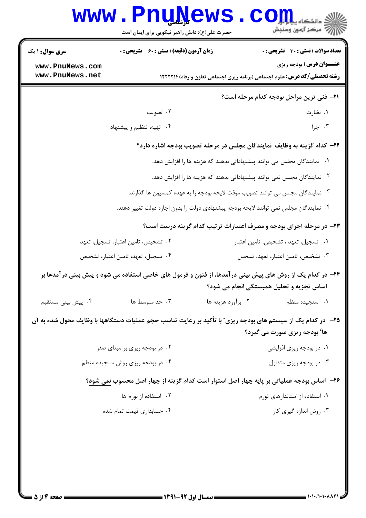|                                                                                                               | <b>www.PnuNews</b><br>حضرت علی(ع): دانش راهبر نیکویی برای ایمان است                   |                    | اللاد دانشکاه پیام در این استفاده باشد.<br>الله آمرکز آزمون وسنجش                                                                                       |
|---------------------------------------------------------------------------------------------------------------|---------------------------------------------------------------------------------------|--------------------|---------------------------------------------------------------------------------------------------------------------------------------------------------|
| <b>سری سوال : ۱ یک</b>                                                                                        | <b>زمان آزمون (دقیقه) : تستی : 60 ٪ تشریحی : 0</b>                                    |                    | تعداد سوالات : تستي : 30 - تشريحي : 0                                                                                                                   |
| www.PnuNews.com<br>www.PnuNews.net                                                                            |                                                                                       |                    | <b>عنــوان درس:</b> بودجه ریزی<br><b>رشته تحصیلی/کد درس:</b> علوم اجتماعی (برنامه ریزی اجتماعی تعاون و رفاه) ۱۲۲۲۲۱۴                                    |
|                                                                                                               |                                                                                       |                    | <b>٢١</b> - فني ترين مراحل بودجه كدام مرحله است؟                                                                                                        |
|                                                                                                               | ۰۲ تصویب                                                                              |                    | ۰۱ نظارت                                                                                                                                                |
|                                                                                                               | ۰۴ تهیه، تنظیم و پیشنهاد                                                              |                    | ۰۳ اجرا                                                                                                                                                 |
| ۲۲- کدام گزینه به وظایف نمایندگان مجلس در مرحله تصویب بودجه اشاره دارد؟                                       |                                                                                       |                    |                                                                                                                                                         |
| ۰۱ نمایندگان مجلس می توانند پیشنهاداتی بدهند که هزینه ها را افزایش دهد.                                       |                                                                                       |                    |                                                                                                                                                         |
| <sup>۰۲</sup> نمایندگان مجلس نمی توانند پیشنهاداتی بدهند که هزینه ها را افزایش دهد.                           |                                                                                       |                    |                                                                                                                                                         |
|                                                                                                               | ۰۳ نمایندگان مجلس می توانند تصویب موقت لایحه بودجه را به عهده کمسیون ها گذارند.       |                    |                                                                                                                                                         |
|                                                                                                               | ۰۴ نمایندگان مجلس نمی توانند لایحه بودجه پیشنهادی دولت را بدون اجازه دولت تغییر دهند. |                    |                                                                                                                                                         |
|                                                                                                               |                                                                                       |                    | ۲۳- در مرحله اجرای بودجه و مصرف اعتبارات ترتیب کدام گزینه درست است؟                                                                                     |
|                                                                                                               | ۰۲ تشخیص، تامین اعتبار، تسجیل، تعهد                                                   |                    | ٠١ تسجيل، تعهد ، تشخيص، تامين اعتبار                                                                                                                    |
|                                                                                                               | ۰۴ تسجیل، تعهد، تامین اعتبار، تشخیص                                                   |                    | ۰۳ تشخیص، تامین اعتبار، تعهد، تسجیل                                                                                                                     |
|                                                                                                               |                                                                                       |                    | ۲۴– در کدام یک از روش های پیش بینی در آمدها، از فنون و فرمول های خاصی استفاده می شود و پیش بینی در آمدها بر<br>اساس تجزیه و تحلیل همبستگی انجام می شود؟ |
| ۰۴ پیش بینی مستقیم                                                                                            | ۰۳ حد متوسط ها                                                                        | ۰۲ برآورد هزینه ها | ٠١. سنجيده منظم                                                                                                                                         |
| ۲۵−   در کدام یک از سیستم های بودجه ریزی' با تأکید بر رعایت تناسب حجم عملیات دستگاهها با وظایف محول شده به آن |                                                                                       |                    | ها' بودجه ریزی صورت می گیرد؟                                                                                                                            |
|                                                                                                               | ۰۲ در بودجه ریزی بر مبنای صفر                                                         |                    | ۰۱ در بودجه ریزی افزایشی                                                                                                                                |
|                                                                                                               | ۰۴ در بودجه ریزی روش سنجیده منظم                                                      |                    | ۰۳ در بودجه ریزی متداول                                                                                                                                 |
|                                                                                                               |                                                                                       |                    | ۲۶– آساس بودجه عملیاتی بر پایه چهار اصل استوار است کدام گزینه از چهار اصل محسوب نمی شود؟                                                                |
|                                                                                                               | ۰۲ استفاده از نورم ها                                                                 |                    | ۰۱ استفاده از استاندارهای تورم                                                                                                                          |
|                                                                                                               | ۰۴ حسابداری قیمت تمام شده                                                             |                    | ۰۳ روش اندازه گیری کار                                                                                                                                  |
|                                                                                                               |                                                                                       |                    |                                                                                                                                                         |